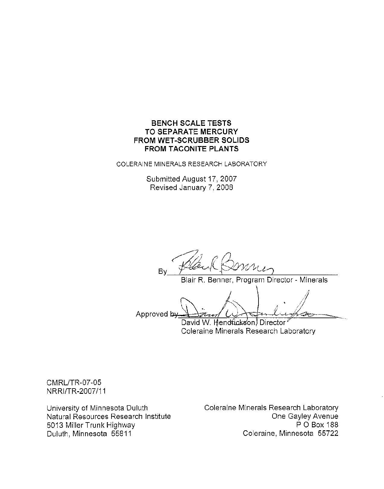## **BENCH SCALE TESTS TO SEPARATE MERCURY** FROM WET-SCRUBBER SOLIDS **FROM TACONITE PLANTS**

COLERAINE MINERALS RESEARCH LABORATORY

Submitted August 17, 2007 Revised January 7, 2008

By

Blair R. Benner, Program Director - Minerals

Approved by David W. Hendrickson, Director

Coleraine Minerals Research Laboratory

**CMRL/TR-07-05** NRRI/TR-2007/11

University of Minnesota Duluth Natural Resources Research Institute 5013 Miller Trunk Highway Duluth, Minnesota 55811

Coleraine Minerals Research Laboratory One Gayley Avenue P O Box 188 Coleraine, Minnesota 55722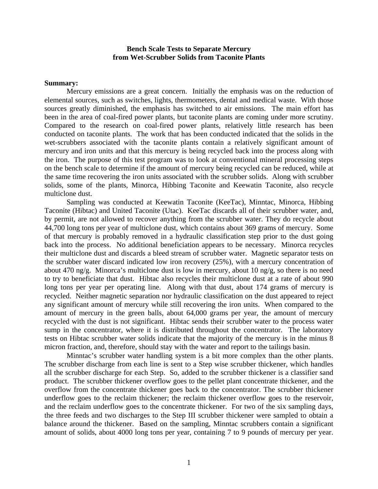#### **Bench Scale Tests to Separate Mercury from Wet-Scrubber Solids from Taconite Plants**

#### **Summary:**

 Mercury emissions are a great concern. Initially the emphasis was on the reduction of elemental sources, such as switches, lights, thermometers, dental and medical waste. With those sources greatly diminished, the emphasis has switched to air emissions. The main effort has been in the area of coal-fired power plants, but taconite plants are coming under more scrutiny. Compared to the research on coal-fired power plants, relatively little research has been conducted on taconite plants. The work that has been conducted indicated that the solids in the wet-scrubbers associated with the taconite plants contain a relatively significant amount of mercury and iron units and that this mercury is being recycled back into the process along with the iron. The purpose of this test program was to look at conventional mineral processing steps on the bench scale to determine if the amount of mercury being recycled can be reduced, while at the same time recovering the iron units associated with the scrubber solids. Along with scrubber solids, some of the plants, Minorca, Hibbing Taconite and Keewatin Taconite, also recycle multiclone dust.

 Sampling was conducted at Keewatin Taconite (KeeTac), Minntac, Minorca, Hibbing Taconite (Hibtac) and United Taconite (Utac). KeeTac discards all of their scrubber water, and, by permit, are not allowed to recover anything from the scrubber water. They do recycle about 44,700 long tons per year of multiclone dust, which contains about 369 grams of mercury. Some of that mercury is probably removed in a hydraulic classification step prior to the dust going back into the process. No additional beneficiation appears to be necessary. Minorca recycles their multiclone dust and discards a bleed stream of scrubber water. Magnetic separator tests on the scrubber water discard indicated low iron recovery (25%), with a mercury concentration of about 470 ng/g. Minorca's multiclone dust is low in mercury, about 10 ng/g, so there is no need to try to beneficiate that dust. Hibtac also recycles their multiclone dust at a rate of about 990 long tons per year per operating line. Along with that dust, about 174 grams of mercury is recycled. Neither magnetic separation nor hydraulic classification on the dust appeared to reject any significant amount of mercury while still recovering the iron units. When compared to the amount of mercury in the green balls, about 64,000 grams per year, the amount of mercury recycled with the dust is not significant. Hibtac sends their scrubber water to the process water sump in the concentrator, where it is distributed throughout the concentrator. The laboratory tests on Hibtac scrubber water solids indicate that the majority of the mercury is in the minus 8 micron fraction, and, therefore, should stay with the water and report to the tailings basin.

 Minntac's scrubber water handling system is a bit more complex than the other plants. The scrubber discharge from each line is sent to a Step wise scrubber thickener, which handles all the scrubber discharge for each Step. So, added to the scrubber thickener is a classifier sand product. The scrubber thickener overflow goes to the pellet plant concentrate thickener, and the overflow from the concentrate thickener goes back to the concentrator. The scrubber thickener underflow goes to the reclaim thickener; the reclaim thickener overflow goes to the reservoir, and the reclaim underflow goes to the concentrate thickener. For two of the six sampling days, the three feeds and two discharges to the Step III scrubber thickener were sampled to obtain a balance around the thickener. Based on the sampling, Minntac scrubbers contain a significant amount of solids, about 4000 long tons per year, containing 7 to 9 pounds of mercury per year.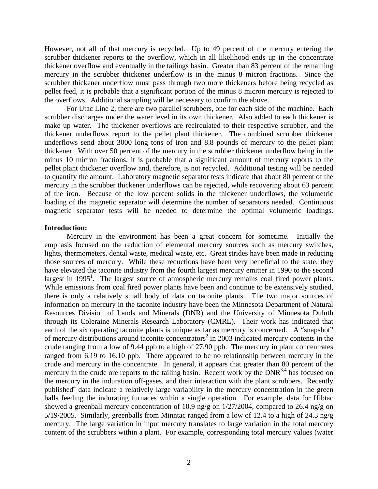However, not all of that mercury is recycled. Up to 49 percent of the mercury entering the scrubber thickener reports to the overflow, which in all likelihood ends up in the concentrate thickener overflow and eventually in the tailings basin. Greater than 83 percent of the remaining mercury in the scrubber thickener underflow is in the minus 8 micron fractions. Since the scrubber thickener underflow must pass through two more thickeners before being recycled as pellet feed, it is probable that a significant portion of the minus 8 micron mercury is rejected to the overflows. Additional sampling will be necessary to confirm the above.

 For Utac Line 2, there are two parallel scrubbers, one for each side of the machine. Each scrubber discharges under the water level in its own thickener. Also added to each thickener is make up water. The thickener overflows are recirculated to their respective scrubber, and the thickener underflows report to the pellet plant thickener. The combined scrubber thickener underflows send about 3000 long tons of iron and 8.8 pounds of mercury to the pellet plant thickener. With over 50 percent of the mercury in the scrubber thickener underflow being in the minus 10 micron fractions, it is probable that a significant amount of mercury reports to the pellet plant thickener overflow and, therefore, is not recycled. Additional testing will be needed to quantify the amount. Laboratory magnetic separator tests indicate that about 80 percent of the mercury in the scrubber thickener underflows can be rejected, while recovering about 63 percent of the iron. Because of the low percent solids in the thickener underflows, the volumetric loading of the magnetic separator will determine the number of separators needed. Continuous magnetic separator tests will be needed to determine the optimal volumetric loadings.

#### **Introduction:**

 Mercury in the environment has been a great concern for sometime. Initially the emphasis focused on the reduction of elemental mercury sources such as mercury switches, lights, thermometers, dental waste, medical waste, etc. Great strides have been made in reducing those sources of mercury. While these reductions have been very beneficial to the state, they have elevated the taconite industry from the fourth largest mercury emitter in 1990 to the second largest in 1995<sup>1</sup>. The largest source of atmospheric mercury remains coal fired power plants. While emissions from coal fired power plants have been and continue to be extensively studied, there is only a relatively small body of data on taconite plants. The two major sources of information on mercury in the taconite industry have been the Minnesota Department of Natural Resources Division of Lands and Minerals (DNR) and the University of Minnesota Duluth through its Coleraine Minerals Research Laboratory (CMRL). Their work has indicated that each of the six operating taconite plants is unique as far as mercury is concerned. A "snapshot" of mercury distributions around taconite concentrators<sup>2</sup> in 2003 indicated mercury contents in the crude ranging from a low of 9.44 ppb to a high of 27.90 ppb. The mercury in plant concentrates ranged from 6.19 to 16.10 ppb. There appeared to be no relationship between mercury in the crude and mercury in the concentrate. In general, it appears that greater than 80 percent of the mercury in the crude ore reports to the tailing basin. Recent work by the  $DNR^{3,4}$  has focused on the mercury in the induration off-gases, and their interaction with the plant scrubbers. Recently published<sup>4</sup> data indicate a relatively large variability in the mercury concentration in the green balls feeding the indurating furnaces within a single operation. For example, data for Hibtac showed a greenball mercury concentration of 10.9 ng/g on 1/27/2004, compared to 26.4 ng/g on 5/19/2005. Similarly, greenballs from Minntac ranged from a low of 12.4 to a high of 24.3 ng/g mercury. The large variation in input mercury translates to large variation in the total mercury content of the scrubbers within a plant. For example, corresponding total mercury values (water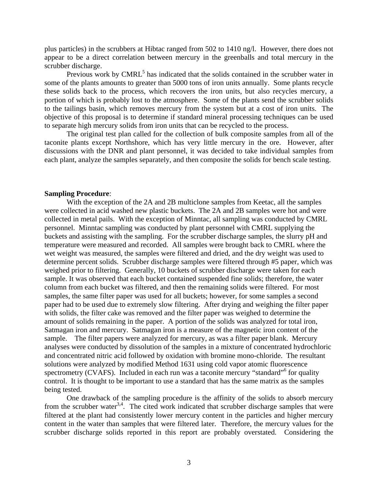plus particles) in the scrubbers at Hibtac ranged from 502 to 1410 ng/l. However, there does not appear to be a direct correlation between mercury in the greenballs and total mercury in the scrubber discharge.

Previous work by  $CMRL<sup>5</sup>$  has indicated that the solids contained in the scrubber water in some of the plants amounts to greater than 5000 tons of iron units annually. Some plants recycle these solids back to the process, which recovers the iron units, but also recycles mercury, a portion of which is probably lost to the atmosphere. Some of the plants send the scrubber solids to the tailings basin, which removes mercury from the system but at a cost of iron units. The objective of this proposal is to determine if standard mineral processing techniques can be used to separate high mercury solids from iron units that can be recycled to the process.

 The original test plan called for the collection of bulk composite samples from all of the taconite plants except Northshore, which has very little mercury in the ore. However, after discussions with the DNR and plant personnel, it was decided to take individual samples from each plant, analyze the samples separately, and then composite the solids for bench scale testing.

#### **Sampling Procedure**:

 With the exception of the 2A and 2B multiclone samples from Keetac, all the samples were collected in acid washed new plastic buckets. The 2A and 2B samples were hot and were collected in metal pails. With the exception of Minntac, all sampling was conducted by CMRL personnel. Minntac sampling was conducted by plant personnel with CMRL supplying the buckets and assisting with the sampling. For the scrubber discharge samples, the slurry pH and temperature were measured and recorded. All samples were brought back to CMRL where the wet weight was measured, the samples were filtered and dried, and the dry weight was used to determine percent solids. Scrubber discharge samples were filtered through #5 paper, which was weighed prior to filtering. Generally, 10 buckets of scrubber discharge were taken for each sample. It was observed that each bucket contained suspended fine solids; therefore, the water column from each bucket was filtered, and then the remaining solids were filtered. For most samples, the same filter paper was used for all buckets; however, for some samples a second paper had to be used due to extremely slow filtering. After drying and weighing the filter paper with solids, the filter cake was removed and the filter paper was weighed to determine the amount of solids remaining in the paper. A portion of the solids was analyzed for total iron, Satmagan iron and mercury. Satmagan iron is a measure of the magnetic iron content of the sample. The filter papers were analyzed for mercury, as was a filter paper blank. Mercury analyses were conducted by dissolution of the samples in a mixture of concentrated hydrochloric and concentrated nitric acid followed by oxidation with bromine mono-chloride. The resultant solutions were analyzed by modified Method 1631 using cold vapor atomic fluorescence spectrometry (CVAFS). Included in each run was a taconite mercury "standard"<sup>6</sup> for quality control. It is thought to be important to use a standard that has the same matrix as the samples being tested.

 One drawback of the sampling procedure is the affinity of the solids to absorb mercury from the scrubber water<sup>3,4</sup>. The cited work indicated that scrubber discharge samples that were filtered at the plant had consistently lower mercury content in the particles and higher mercury content in the water than samples that were filtered later. Therefore, the mercury values for the scrubber discharge solids reported in this report are probably overstated. Considering the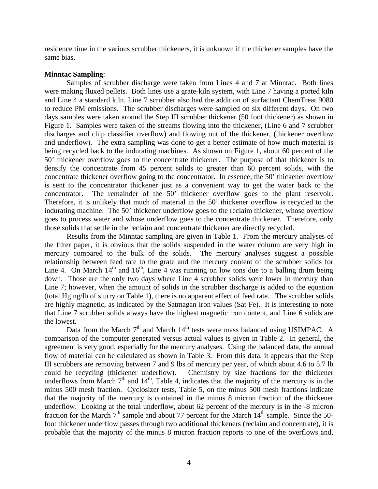residence time in the various scrubber thickeners, it is unknown if the thickener samples have the same bias.

#### **Minntac Sampling**:

 Samples of scrubber discharge were taken from Lines 4 and 7 at Minntac. Both lines were making fluxed pellets. Both lines use a grate-kiln system, with Line 7 having a ported kiln and Line 4 a standard kiln. Line 7 scrubber also had the addition of surfactant ChemTreat 9080 to reduce PM emissions. The scrubber discharges were sampled on six different days. On two days samples were taken around the Step III scrubber thickener (50 foot thickener) as shown in Figure 1. Samples were taken of the streams flowing into the thickener, (Line 6 and 7 scrubber discharges and chip classifier overflow) and flowing out of the thickener, (thickener overflow and underflow). The extra sampling was done to get a better estimate of how much material is being recycled back to the indurating machines. As shown on Figure 1, about 60 percent of the 50' thickener overflow goes to the concentrate thickener. The purpose of that thickener is to densify the concentrate from 45 percent solids to greater than 60 percent solids, with the concentrate thickener overflow going to the concentrator. In essence, the 50' thickener overflow is sent to the concentrator thickener just as a convenient way to get the water back to the concentrator. The remainder of the 50' thickener overflow goes to the plant reservoir. Therefore, it is unlikely that much of material in the 50' thickener overflow is recycled to the indurating machine. The 50' thickener underflow goes to the reclaim thickener, whose overflow goes to process water and whose underflow goes to the concentrate thickener. Therefore, only those solids that settle in the reclaim and concentrate thickener are directly recycled.

 Results from the Minntac sampling are given in Table 1. From the mercury analyses of the filter paper, it is obvious that the solids suspended in the water column are very high in mercury compared to the bulk of the solids. The mercury analyses suggest a possible relationship between feed rate to the grate and the mercury content of the scrubber solids for Line 4. On March  $14<sup>th</sup>$  and  $16<sup>th</sup>$ , Line 4 was running on low tons due to a balling drum being down. Those are the only two days where Line 4 scrubber solids were lower in mercury than Line 7; however, when the amount of solids in the scrubber discharge is added to the equation (total Hg ng/lb of slurry on Table 1), there is no apparent effect of feed rate. The scrubber solids are highly magnetic, as indicated by the Satmagan iron values (Sat Fe). It is interesting to note that Line 7 scrubber solids always have the highest magnetic iron content, and Line 6 solids are the lowest.

Data from the March  $7<sup>th</sup>$  and March  $14<sup>th</sup>$  tests were mass balanced using USIMPAC. A comparison of the computer generated versus actual values is given in Table 2. In general, the agreement is very good, especially for the mercury analyses. Using the balanced data, the annual flow of material can be calculated as shown in Table 3. From this data, it appears that the Step III scrubbers are removing between 7 and 9 lbs of mercury per year, of which about 4.6 to 5.7 lb could be recycling (thickener underflow). Chemistry by size fractions for the thickener underflows from March  $7<sup>th</sup>$  and  $14<sup>th</sup>$ , Table 4, indicates that the majority of the mercury is in the minus 500 mesh fraction. Cyclosizer tests, Table 5, on the minus 500 mesh fractions indicate that the majority of the mercury is contained in the minus 8 micron fraction of the thickener underflow. Looking at the total underflow, about 62 percent of the mercury is in the -8 micron fraction for the March  $7<sup>th</sup>$  sample and about 77 percent for the March  $14<sup>th</sup>$  sample. Since the 50foot thickener underflow passes through two additional thickeners (reclaim and concentrate), it is probable that the majority of the minus 8 micron fraction reports to one of the overflows and,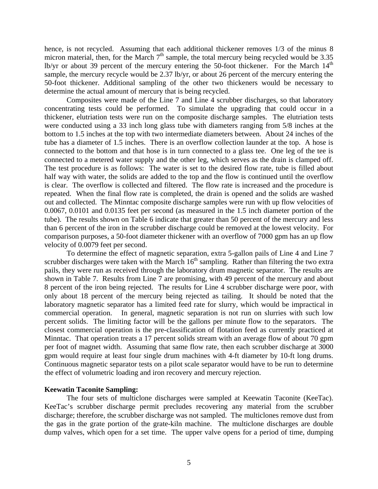hence, is not recycled. Assuming that each additional thickener removes 1/3 of the minus 8 micron material, then, for the March  $7<sup>th</sup>$  sample, the total mercury being recycled would be 3.35 lb/yr or about 39 percent of the mercury entering the 50-foot thickener. For the March  $14<sup>th</sup>$ sample, the mercury recycle would be 2.37 lb/yr, or about 26 percent of the mercury entering the 50-foot thickener. Additional sampling of the other two thickeners would be necessary to determine the actual amount of mercury that is being recycled.

 Composites were made of the Line 7 and Line 4 scrubber discharges, so that laboratory concentrating tests could be performed. To simulate the upgrading that could occur in a thickener, elutriation tests were run on the composite discharge samples. The elutriation tests were conducted using a 33 inch long glass tube with diameters ranging from 5/8 inches at the bottom to 1.5 inches at the top with two intermediate diameters between. About 24 inches of the tube has a diameter of 1.5 inches. There is an overflow collection launder at the top. A hose is connected to the bottom and that hose is in turn connected to a glass tee. One leg of the tee is connected to a metered water supply and the other leg, which serves as the drain is clamped off. The test procedure is as follows: The water is set to the desired flow rate, tube is filled about half way with water, the solids are added to the top and the flow is continued until the overflow is clear. The overflow is collected and filtered. The flow rate is increased and the procedure is repeated. When the final flow rate is completed, the drain is opened and the solids are washed out and collected. The Minntac composite discharge samples were run with up flow velocities of 0.0067, 0.0101 and 0.0135 feet per second (as measured in the 1.5 inch diameter portion of the tube). The results shown on Table 6 indicate that greater than 50 percent of the mercury and less than 6 percent of the iron in the scrubber discharge could be removed at the lowest velocity. For comparison purposes, a 50-foot diameter thickener with an overflow of 7000 gpm has an up flow velocity of 0.0079 feet per second.

 To determine the effect of magnetic separation, extra 5-gallon pails of Line 4 and Line 7 scrubber discharges were taken with the March  $16<sup>th</sup>$  sampling. Rather than filtering the two extra pails, they were run as received through the laboratory drum magnetic separator. The results are shown in Table 7. Results from Line 7 are promising, with 49 percent of the mercury and about 8 percent of the iron being rejected. The results for Line 4 scrubber discharge were poor, with only about 18 percent of the mercury being rejected as tailing. It should be noted that the laboratory magnetic separator has a limited feed rate for slurry, which would be impractical in commercial operation. In general, magnetic separation is not run on slurries with such low percent solids. The limiting factor will be the gallons per minute flow to the separators. The closest commercial operation is the pre-classification of flotation feed as currently practiced at Minntac. That operation treats a 17 percent solids stream with an average flow of about 70 gpm per foot of magnet width. Assuming that same flow rate, then each scrubber discharge at 3000 gpm would require at least four single drum machines with 4-ft diameter by 10-ft long drums. Continuous magnetic separator tests on a pilot scale separator would have to be run to determine the effect of volumetric loading and iron recovery and mercury rejection.

#### **Keewatin Taconite Sampling:**

The four sets of multiclone discharges were sampled at Keewatin Taconite (KeeTac). KeeTac's scrubber discharge permit precludes recovering any material from the scrubber discharge; therefore, the scrubber discharge was not sampled. The multiclones remove dust from the gas in the grate portion of the grate-kiln machine. The multiclone discharges are double dump valves, which open for a set time. The upper valve opens for a period of time, dumping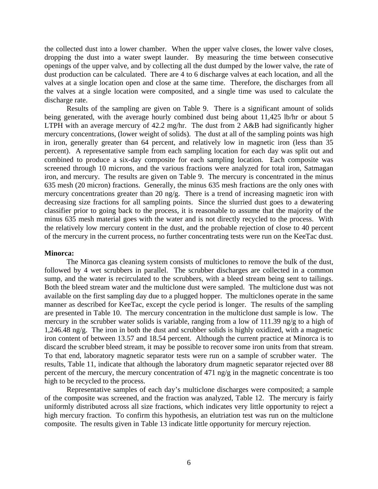the collected dust into a lower chamber. When the upper valve closes, the lower valve closes, dropping the dust into a water swept launder. By measuring the time between consecutive openings of the upper valve, and by collecting all the dust dumped by the lower valve, the rate of dust production can be calculated. There are 4 to 6 discharge valves at each location, and all the valves at a single location open and close at the same time. Therefore, the discharges from all the valves at a single location were composited, and a single time was used to calculate the discharge rate.

Results of the sampling are given on Table 9. There is a significant amount of solids being generated, with the average hourly combined dust being about 11,425 lb/hr or about 5 LTPH with an average mercury of 42.2 mg/hr. The dust from 2 A&B had significantly higher mercury concentrations, (lower weight of solids). The dust at all of the sampling points was high in iron, generally greater than 64 percent, and relatively low in magnetic iron (less than 35 percent). A representative sample from each sampling location for each day was split out and combined to produce a six-day composite for each sampling location. Each composite was screened through 10 microns, and the various fractions were analyzed for total iron, Satmagan iron, and mercury. The results are given on Table 9. The mercury is concentrated in the minus 635 mesh (20 micron) fractions. Generally, the minus 635 mesh fractions are the only ones with mercury concentrations greater than 20 ng/g. There is a trend of increasing magnetic iron with decreasing size fractions for all sampling points. Since the slurried dust goes to a dewatering classifier prior to going back to the process, it is reasonable to assume that the majority of the minus 635 mesh material goes with the water and is not directly recycled to the process. With the relatively low mercury content in the dust, and the probable rejection of close to 40 percent of the mercury in the current process, no further concentrating tests were run on the KeeTac dust.

#### **Minorca:**

 The Minorca gas cleaning system consists of multiclones to remove the bulk of the dust, followed by 4 wet scrubbers in parallel. The scrubber discharges are collected in a common sump, and the water is recirculated to the scrubbers, with a bleed stream being sent to tailings. Both the bleed stream water and the multiclone dust were sampled. The multiclone dust was not available on the first sampling day due to a plugged hopper. The multiclones operate in the same manner as described for KeeTac, except the cycle period is longer. The results of the sampling are presented in Table 10. The mercury concentration in the multiclone dust sample is low. The mercury in the scrubber water solids is variable, ranging from a low of 111.39 ng/g to a high of 1,246.48 ng/g. The iron in both the dust and scrubber solids is highly oxidized, with a magnetic iron content of between 13.57 and 18.54 percent. Although the current practice at Minorca is to discard the scrubber bleed stream, it may be possible to recover some iron units from that stream. To that end, laboratory magnetic separator tests were run on a sample of scrubber water. The results, Table 11, indicate that although the laboratory drum magnetic separator rejected over 88 percent of the mercury, the mercury concentration of 471 ng/g in the magnetic concentrate is too high to be recycled to the process.

 Representative samples of each day's multiclone discharges were composited; a sample of the composite was screened, and the fraction was analyzed, Table 12. The mercury is fairly uniformly distributed across all size fractions, which indicates very little opportunity to reject a high mercury fraction. To confirm this hypothesis, an elutriation test was run on the multiclone composite. The results given in Table 13 indicate little opportunity for mercury rejection.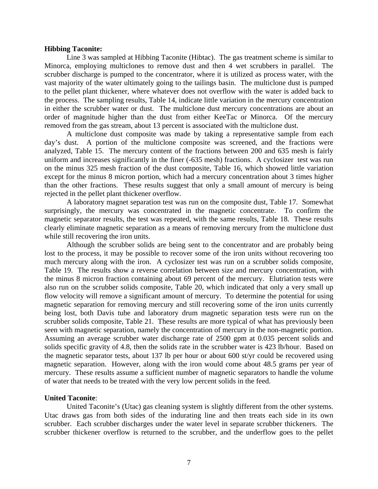#### **Hibbing Taconite:**

 Line 3 was sampled at Hibbing Taconite (Hibtac). The gas treatment scheme is similar to Minorca, employing multiclones to remove dust and then 4 wet scrubbers in parallel. The scrubber discharge is pumped to the concentrator, where it is utilized as process water, with the vast majority of the water ultimately going to the tailings basin. The multiclone dust is pumped to the pellet plant thickener, where whatever does not overflow with the water is added back to the process. The sampling results, Table 14, indicate little variation in the mercury concentration in either the scrubber water or dust. The multiclone dust mercury concentrations are about an order of magnitude higher than the dust from either KeeTac or Minorca. Of the mercury removed from the gas stream, about 13 percent is associated with the multiclone dust.

 A multiclone dust composite was made by taking a representative sample from each day's dust. A portion of the multiclone composite was screened, and the fractions were analyzed, Table 15. The mercury content of the fractions between 200 and 635 mesh is fairly uniform and increases significantly in the finer (-635 mesh) fractions. A cyclosizer test was run on the minus 325 mesh fraction of the dust composite, Table 16, which showed little variation except for the minus 8 micron portion, which had a mercury concentration about 3 times higher than the other fractions. These results suggest that only a small amount of mercury is being rejected in the pellet plant thickener overflow.

 A laboratory magnet separation test was run on the composite dust, Table 17. Somewhat surprisingly, the mercury was concentrated in the magnetic concentrate. To confirm the magnetic separator results, the test was repeated, with the same results, Table 18. These results clearly eliminate magnetic separation as a means of removing mercury from the multiclone dust while still recovering the iron units.

 Although the scrubber solids are being sent to the concentrator and are probably being lost to the process, it may be possible to recover some of the iron units without recovering too much mercury along with the iron. A cyclosizer test was run on a scrubber solids composite, Table 19. The results show a reverse correlation between size and mercury concentration, with the minus 8 micron fraction containing about 69 percent of the mercury. Elutriation tests were also run on the scrubber solids composite, Table 20, which indicated that only a very small up flow velocity will remove a significant amount of mercury. To determine the potential for using magnetic separation for removing mercury and still recovering some of the iron units currently being lost, both Davis tube and laboratory drum magnetic separation tests were run on the scrubber solids composite, Table 21. These results are more typical of what has previously been seen with magnetic separation, namely the concentration of mercury in the non-magnetic portion. Assuming an average scrubber water discharge rate of 2500 gpm at 0.035 percent solids and solids specific gravity of 4.8, then the solids rate in the scrubber water is 423 lb/hour. Based on the magnetic separator tests, about 137 lb per hour or about 600 st/yr could be recovered using magnetic separation. However, along with the iron would come about 48.5 grams per year of mercury. These results assume a sufficient number of magnetic separators to handle the volume of water that needs to be treated with the very low percent solids in the feed.

### **United Taconite**:

 United Taconite's (Utac) gas cleaning system is slightly different from the other systems. Utac draws gas from both sides of the indurating line and then treats each side in its own scrubber. Each scrubber discharges under the water level in separate scrubber thickeners. The scrubber thickener overflow is returned to the scrubber, and the underflow goes to the pellet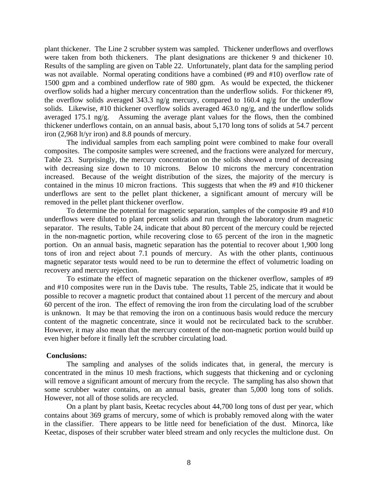plant thickener. The Line 2 scrubber system was sampled. Thickener underflows and overflows were taken from both thickeners. The plant designations are thickener 9 and thickener 10. Results of the sampling are given on Table 22. Unfortunately, plant data for the sampling period was not available. Normal operating conditions have a combined (#9 and #10) overflow rate of 1500 gpm and a combined underflow rate of 980 gpm. As would be expected, the thickener overflow solids had a higher mercury concentration than the underflow solids. For thickener #9, the overflow solids averaged 343.3 ng/g mercury, compared to 160.4 ng/g for the underflow solids. Likewise, #10 thickener overflow solids averaged 463.0 ng/g, and the underflow solids averaged 175.1 ng/g. Assuming the average plant values for the flows, then the combined thickener underflows contain, on an annual basis, about 5,170 long tons of solids at 54.7 percent iron (2,968 lt/yr iron) and 8.8 pounds of mercury.

 The individual samples from each sampling point were combined to make four overall composites. The composite samples were screened, and the fractions were analyzed for mercury, Table 23. Surprisingly, the mercury concentration on the solids showed a trend of decreasing with decreasing size down to 10 microns. Below 10 microns the mercury concentration increased. Because of the weight distribution of the sizes, the majority of the mercury is contained in the minus 10 micron fractions. This suggests that when the #9 and #10 thickener underflows are sent to the pellet plant thickener, a significant amount of mercury will be removed in the pellet plant thickener overflow.

 To determine the potential for magnetic separation, samples of the composite #9 and #10 underflows were diluted to plant percent solids and run through the laboratory drum magnetic separator. The results, Table 24, indicate that about 80 percent of the mercury could be rejected in the non-magnetic portion, while recovering close to 65 percent of the iron in the magnetic portion. On an annual basis, magnetic separation has the potential to recover about 1,900 long tons of iron and reject about 7.1 pounds of mercury. As with the other plants, continuous magnetic separator tests would need to be run to determine the effect of volumetric loading on recovery and mercury rejection.

 To estimate the effect of magnetic separation on the thickener overflow, samples of #9 and #10 composites were run in the Davis tube. The results, Table 25, indicate that it would be possible to recover a magnetic product that contained about 11 percent of the mercury and about 60 percent of the iron. The effect of removing the iron from the circulating load of the scrubber is unknown. It may be that removing the iron on a continuous basis would reduce the mercury content of the magnetic concentrate, since it would not be recirculated back to the scrubber. However, it may also mean that the mercury content of the non-magnetic portion would build up even higher before it finally left the scrubber circulating load.

### **Conclusions:**

 The sampling and analyses of the solids indicates that, in general, the mercury is concentrated in the minus 10 mesh fractions, which suggests that thickening and or cycloning will remove a significant amount of mercury from the recycle. The sampling has also shown that some scrubber water contains, on an annual basis, greater than 5,000 long tons of solids. However, not all of those solids are recycled.

 On a plant by plant basis, Keetac recycles about 44,700 long tons of dust per year, which contains about 369 grams of mercury, some of which is probably removed along with the water in the classifier. There appears to be little need for beneficiation of the dust. Minorca, like Keetac, disposes of their scrubber water bleed stream and only recycles the multiclone dust. On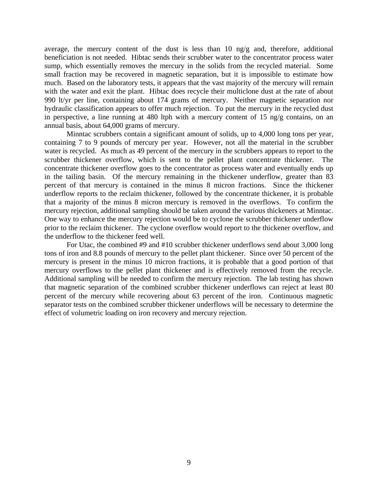average, the mercury content of the dust is less than 10 ng/g and, therefore, additional beneficiation is not needed. Hibtac sends their scrubber water to the concentrator process water sump, which essentially removes the mercury in the solids from the recycled material. Some small fraction may be recovered in magnetic separation, but it is impossible to estimate how much. Based on the laboratory tests, it appears that the vast majority of the mercury will remain with the water and exit the plant. Hibtac does recycle their multiclone dust at the rate of about 990 lt/yr per line, containing about 174 grams of mercury. Neither magnetic separation nor hydraulic classification appears to offer much rejection. To put the mercury in the recycled dust in perspective, a line running at 480 ltph with a mercury content of 15 ng/g contains, on an annual basis, about 64,000 grams of mercury.

 Minntac scrubbers contain a significant amount of solids, up to 4,000 long tons per year, containing 7 to 9 pounds of mercury per year. However, not all the material in the scrubber water is recycled. As much as 49 percent of the mercury in the scrubbers appears to report to the scrubber thickener overflow, which is sent to the pellet plant concentrate thickener. The concentrate thickener overflow goes to the concentrator as process water and eventually ends up in the tailing basin. Of the mercury remaining in the thickener underflow, greater than 83 percent of that mercury is contained in the minus 8 micron fractions. Since the thickener underflow reports to the reclaim thickener, followed by the concentrate thickener, it is probable that a majority of the minus 8 micron mercury is removed in the overflows. To confirm the mercury rejection, additional sampling should be taken around the various thickeners at Minntac. One way to enhance the mercury rejection would be to cyclone the scrubber thickener underflow prior to the reclaim thickener. The cyclone overflow would report to the thickener overflow, and the underflow to the thickener feed well.

 For Utac, the combined #9 and #10 scrubber thickener underflows send about 3,000 long tons of iron and 8.8 pounds of mercury to the pellet plant thickener. Since over 50 percent of the mercury is present in the minus 10 micron fractions, it is probable that a good portion of that mercury overflows to the pellet plant thickener and is effectively removed from the recycle. Additional sampling will be needed to confirm the mercury rejection. The lab testing has shown that magnetic separation of the combined scrubber thickener underflows can reject at least 80 percent of the mercury while recovering about 63 percent of the iron. Continuous magnetic separator tests on the combined scrubber thickener underflows will be necessary to determine the effect of volumetric loading on iron recovery and mercury rejection.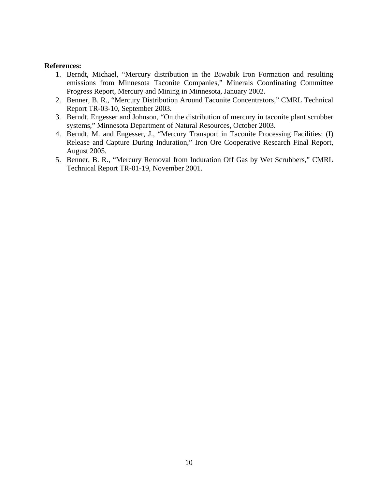### **References:**

- 1. Berndt, Michael, "Mercury distribution in the Biwabik Iron Formation and resulting emissions from Minnesota Taconite Companies," Minerals Coordinating Committee Progress Report, Mercury and Mining in Minnesota, January 2002.
- 2. Benner, B. R., "Mercury Distribution Around Taconite Concentrators," CMRL Technical Report TR-03-10, September 2003.
- 3. Berndt, Engesser and Johnson, "On the distribution of mercury in taconite plant scrubber systems," Minnesota Department of Natural Resources, October 2003.
- 4. Berndt, M. and Engesser, J., "Mercury Transport in Taconite Processing Facilities: (I) Release and Capture During Induration," Iron Ore Cooperative Research Final Report, August 2005.
- 5. Benner, B. R., "Mercury Removal from Induration Off Gas by Wet Scrubbers," CMRL Technical Report TR-01-19, November 2001.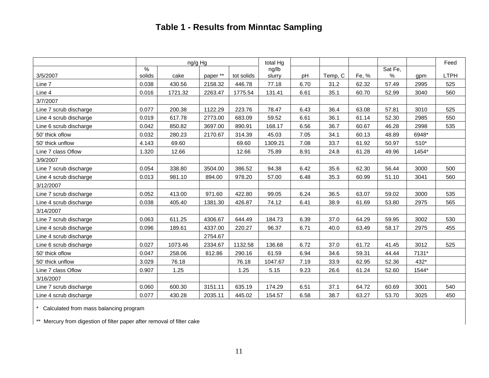## **Table 1 - Results from Minntac Sampling**

|                        |               | ng/g Hg |          |            | total Hg |      |         |       |         |        | Feed |
|------------------------|---------------|---------|----------|------------|----------|------|---------|-------|---------|--------|------|
|                        | $\frac{9}{6}$ |         |          |            | ng/lb    |      |         |       | Sat Fe, |        |      |
| 3/5/2007               | solids        | cake    | paper ** | tot solids | slurry   | pH   | Temp, C | Fe, % | %       | gpm    | LTPH |
| Line 7                 | 0.038         | 430.56  | 2158.32  | 446.78     | 77.18    | 6.70 | 31.2    | 62.32 | 57.49   | 2995   | 525  |
| Line 4                 | 0.016         | 1721.32 | 2263.47  | 1775.54    | 131.41   | 6.61 | 35.1    | 60.70 | 52.99   | 3040   | 560  |
| 3/7/2007               |               |         |          |            |          |      |         |       |         |        |      |
| Line 7 scrub discharge | 0.077         | 200.38  | 1122.29  | 223.76     | 78.47    | 6.43 | 36.4    | 63.08 | 57.81   | 3010   | 525  |
| Line 4 scrub discharge | 0.019         | 617.78  | 2773.00  | 683.09     | 59.52    | 6.61 | 36.1    | 61.14 | 52.30   | 2985   | 550  |
| Line 6 scrub discharge | 0.042         | 850.82  | 3697.00  | 890.91     | 168.17   | 6.56 | 36.7    | 60.67 | 46.28   | 2998   | 535  |
| 50' thick oflow        | 0.032         | 280.23  | 2170.67  | 314.39     | 45.03    | 7.05 | 34.1    | 60.13 | 48.89   | 6948*  |      |
| 50' thick unflow       | 4.143         | 69.60   |          | 69.60      | 1309.21  | 7.08 | 33.7    | 61.92 | 50.97   | $510*$ |      |
| Line 7 class Oflow     | 1.320         | 12.66   |          | 12.66      | 75.89    | 8.91 | 24.8    | 61.28 | 49.96   | 1454*  |      |
| 3/9/2007               |               |         |          |            |          |      |         |       |         |        |      |
| Line 7 scrub discharge | 0.054         | 338.80  | 3504.00  | 386.52     | 94.38    | 6.42 | 35.6    | 62.30 | 56.44   | 3000   | 500  |
| Line 4 scrub discharge | 0.013         | 981.10  | 894.00   | 978.20     | 57.00    | 6.48 | 35.3    | 60.99 | 51.10   | 3041   | 560  |
| 3/12/2007              |               |         |          |            |          |      |         |       |         |        |      |
| Line 7 scrub discharge | 0.052         | 413.00  | 971.60   | 422.80     | 99.05    | 6.24 | 36.5    | 63.07 | 59.02   | 3000   | 535  |
| Line 4 scrub discharge | 0.038         | 405.40  | 1381.30  | 426.87     | 74.12    | 6.41 | 38.9    | 61.69 | 53.80   | 2975   | 565  |
| 3/14/2007              |               |         |          |            |          |      |         |       |         |        |      |
| Line 7 scrub discharge | 0.063         | 611.25  | 4306.67  | 644.49     | 184.73   | 6.39 | 37.0    | 64.29 | 59.95   | 3002   | 530  |
| Line 4 scrub discharge | 0.096         | 189.61  | 4337.00  | 220.27     | 96.37    | 6.71 | 40.0    | 63.49 | 58.17   | 2975   | 455  |
| Line 4 scrub discharge |               |         | 2754.67  |            |          |      |         |       |         |        |      |
| Line 6 scrub discharge | 0.027         | 1073.46 | 2334.67  | 1132.58    | 136.68   | 6.72 | 37.0    | 61.72 | 41.45   | 3012   | 525  |
| 50' thick oflow        | 0.047         | 258.06  | 812.86   | 290.16     | 61.59    | 6.94 | 34.6    | 59.31 | 44.44   | 7131*  |      |
| 50' thick unflow       | 3.029         | 76.18   |          | 76.18      | 1047.67  | 7.19 | 33.9    | 62.95 | 52.36   | 432*   |      |
| Line 7 class Oflow     | 0.907         | 1.25    |          | 1.25       | 5.15     | 9.23 | 26.6    | 61.24 | 52.60   | 1544*  |      |
| 3/16/2007              |               |         |          |            |          |      |         |       |         |        |      |
| Line 7 scrub discharge | 0.060         | 600.30  | 3151.11  | 635.19     | 174.29   | 6.51 | 37.1    | 64.72 | 60.69   | 3001   | 540  |
| Line 4 scrub discharge | 0.077         | 430.28  | 2035.11  | 445.02     | 154.57   | 6.58 | 38.7    | 63.27 | 53.70   | 3025   | 450  |

\* Calculated from mass balancing program

\*\* Mercury from digestion of filter paper after removal of filter cake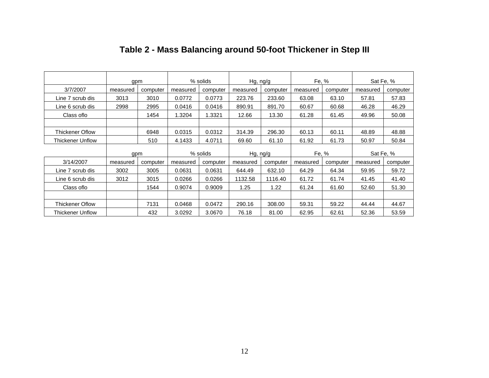|                         | gpm      |          |          | % solids | Hg, ng/g |          | Fe, %    |          |           | Sat Fe, % |
|-------------------------|----------|----------|----------|----------|----------|----------|----------|----------|-----------|-----------|
| 3/7/2007                | measured | computer | measured | computer | measured | computer | measured | computer | measured  | computer  |
| Line 7 scrub dis        | 3013     | 3010     | 0.0772   | 0.0773   | 223.76   | 233.60   | 63.08    | 63.10    | 57.81     | 57.83     |
| Line 6 scrub dis        | 2998     | 2995     | 0.0416   | 0.0416   | 890.91   | 891.70   | 60.67    | 60.68    | 46.28     | 46.29     |
| Class of lo             |          | 1454     | 1.3204   | 1.3321   | 12.66    | 13.30    | 61.28    | 61.45    | 49.96     | 50.08     |
|                         |          |          |          |          |          |          |          |          |           |           |
| <b>Thickener Oflow</b>  |          | 6948     | 0.0315   | 0.0312   | 314.39   | 296.30   | 60.13    | 60.11    | 48.89     | 48.88     |
| <b>Thickener Unflow</b> |          | 510      | 4.1433   | 4.0711   | 69.60    | 61.10    | 61.92    | 61.73    | 50.97     | 50.84     |
|                         | gpm      |          |          | % solids | Hg, ng/g |          | Fe, %    |          | Sat Fe, % |           |
| 3/14/2007               | measured | computer | measured | computer | measured | computer | measured | computer | measured  | computer  |
| Line 7 scrub dis        | 3002     | 3005     | 0.0631   | 0.0631   | 644.49   | 632.10   | 64.29    | 64.34    | 59.95     | 59.72     |
| Line 6 scrub dis        | 3012     | 3015     | 0.0266   | 0.0266   | 1132.58  | 1116.40  | 61.72    | 61.74    | 41.45     | 41.40     |
| Class of lo             |          | 1544     | 0.9074   | 0.9009   | 1.25     | 1.22     | 61.24    | 61.60    | 52.60     | 51.30     |
|                         |          |          |          |          |          |          |          |          |           |           |
| <b>Thickener Oflow</b>  |          | 7131     | 0.0468   | 0.0472   | 290.16   | 308.00   | 59.31    | 59.22    | 44.44     | 44.67     |
| <b>Thickener Unflow</b> |          | 432      | 3.0292   | 3.0670   | 76.18    | 81.00    | 62.95    | 62.61    | 52.36     | 53.59     |

# **Table 2 - Mass Balancing around 50-foot Thickener in Step III**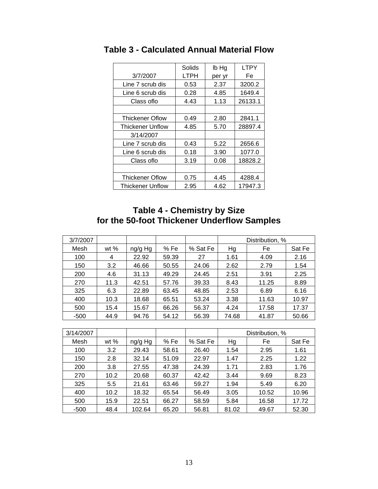|                         | Solids | lb Hg  | <b>LTPY</b> |
|-------------------------|--------|--------|-------------|
| 3/7/2007                | LTPH   | per yr | Fe          |
| Line 7 scrub dis        | 0.53   | 2.37   | 3200.2      |
| Line 6 scrub dis        | 0.28   | 4.85   | 1649.4      |
| Class oflo              | 4.43   | 1.13   | 26133.1     |
|                         |        |        |             |
| <b>Thickener Oflow</b>  | 0.49   | 2.80   | 2841.1      |
| <b>Thickener Unflow</b> | 4.85   | 5.70   | 28897.4     |
| 3/14/2007               |        |        |             |
| Line 7 scrub dis        | 0.43   | 5.22   | 2656.6      |
| Line 6 scrub dis        | 0.18   | 3.90   | 1077.0      |
| Class of lo             | 3.19   | 0.08   | 18828.2     |
|                         |        |        |             |
| <b>Thickener Oflow</b>  | 0.75   | 4.45   | 4288.4      |
| <b>Thickener Unflow</b> | 2.95   | 4.62   | 17947.3     |

**Table 3 - Calculated Annual Material Flow** 

## **Table 4 - Chemistry by Size for the 50-foot Thickener Underflow Samples**

| 3/7/2007  |      |         |       |          |       | Distribution, % |        |
|-----------|------|---------|-------|----------|-------|-----------------|--------|
| Mesh      | wt % | ng/g Hg | % Fe  | % Sat Fe | Hg    | Fe              | Sat Fe |
| 100       | 4    | 22.92   | 59.39 | 27       | 1.61  | 4.09            | 2.16   |
| 150       | 3.2  | 46.66   | 50.55 | 24.06    | 2.62  | 2.79            | 1.54   |
| 200       | 4.6  | 31.13   | 49.29 | 24.45    | 2.51  | 3.91            | 2.25   |
| 270       | 11.3 | 42.51   | 57.76 | 39.33    | 8.43  | 11.25           | 8.89   |
| 325       | 6.3  | 22.89   | 63.45 | 48.85    | 2.53  | 6.89            | 6.16   |
| 400       | 10.3 | 18.68   | 65.51 | 53.24    | 3.38  | 11.63           | 10.97  |
| 500       | 15.4 | 15.67   | 66.26 | 56.37    | 4.24  | 17.58           | 17.37  |
| $-500$    | 44.9 | 94.76   | 54.12 | 56.39    | 74.68 | 41.87           | 50.66  |
|           |      |         |       |          |       |                 |        |
| 3/14/2007 |      |         |       |          |       | Distribution, % |        |
| Mesh      | wt % | ng/g Hg | % Fe  | % Sat Fe | Hg    | Fe              | Sat Fe |
| 100       | 3.2  | 29.43   | 58.61 | 26.40    | 1.54  | 2.95            | 1.61   |
| 150       | 2.8  | 32.14   | 51.09 | 22.97    | 1.47  | 2.25            | 1.22   |
| 200       | 3.8  | 27.55   | 47.38 | 24.39    | 1.71  | 2.83            | 1.76   |
| 270       | 10.2 | 20.68   | 60.37 | 42.42    | 3.44  | 9.69            | 8.23   |

325 5.5 21.61 63.46 59.27 1.94 5.49 6.20 400 | 10.2 | 18.32 | 65.54 | 56.49 | 3.05 | 10.52 | 10.96 500 15.9 22.51 66.27 58.59 5.84 16.58 17.72 -500 | 48.4 | 102.64 | 65.20 | 56.81 | 81.02 | 49.67 | 52.30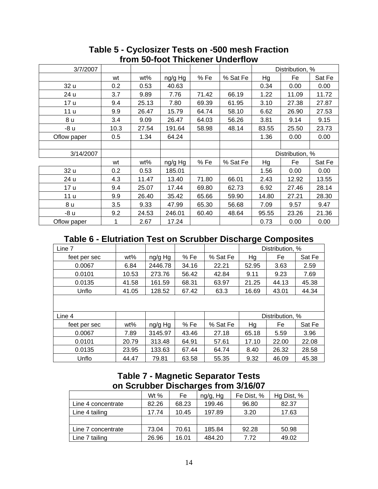| 3/7/2007    |      |       |         |       |          |       | Distribution, % |        |
|-------------|------|-------|---------|-------|----------|-------|-----------------|--------|
|             | wt   | wt%   | ng/g Hg | % Fe  | % Sat Fe | Hg    | Fe              | Sat Fe |
| 32 u        | 0.2  | 0.53  | 40.63   |       |          | 0.34  | 0.00            | 0.00   |
| 24 u        | 3.7  | 9.89  | 7.76    | 71.42 | 66.19    | 1.22  | 11.09           | 11.72  |
| 17 u        | 9.4  | 25.13 | 7.80    | 69.39 | 61.95    | 3.10  | 27.38           | 27.87  |
| 11 u        | 9.9  | 26.47 | 15.79   | 64.74 | 58.10    | 6.62  | 26.90           | 27.53  |
| 8 u         | 3.4  | 9.09  | 26.47   | 64.03 | 56.26    | 3.81  | 9.14            | 9.15   |
| -8 u        | 10.3 | 27.54 | 191.64  | 58.98 | 48.14    | 83.55 | 25.50           | 23.73  |
| Oflow paper | 0.5  | 1.34  | 64.24   |       |          | 1.36  | 0.00            | 0.00   |
|             |      |       |         |       |          |       |                 |        |
| 3/14/2007   |      |       |         |       |          |       | Distribution, % |        |
|             | wt   | wt%   | ng/g Hg | % Fe  | % Sat Fe | Hg    | Fe              | Sat Fe |
| 32 u        | 0.2  | 0.53  | 185.01  |       |          | 1.56  | 0.00            | 0.00   |
| 24 u        | 4.3  | 11.47 | 13.40   | 71.80 | 66.01    | 2.43  | 12.92           | 13.55  |
| 17 u        | 9.4  | 25.07 | 17.44   | 69.80 | 62.73    | 6.92  | 27.46           | 28.14  |
| 11 u        | 9.9  | 26.40 | 35.42   | 65.66 | 59.90    | 14.80 | 27.21           | 28.30  |
| 8 u         | 3.5  | 9.33  | 47.99   | 65.30 | 56.68    | 7.09  | 9.57            | 9.47   |
| -8 u        | 9.2  | 24.53 | 246.01  | 60.40 | 48.64    | 95.55 | 23.26           | 21.36  |
| Oflow paper |      | 2.67  | 17.24   |       |          | 0.73  | 0.00            | 0.00   |

### **Table 5 - Cyclosizer Tests on -500 mesh Fraction from 50-foot Thickener Underflow**

## **Table 6 - Elutriation Test on Scrubber Discharge Composites**

| Line 7       |       |         |       |          |       | Distribution, % |        |
|--------------|-------|---------|-------|----------|-------|-----------------|--------|
| feet per sec | wt%   | ng/g Hg | %Fe   | % Sat Fe | Hg    | Fe              | Sat Fe |
| 0.0067       | 6.84  | 2446.78 | 34.16 | 22.21    | 52.95 | 3.63            | 2.59   |
| 0.0101       | 10.53 | 273.76  | 56.42 | 42.84    | 9.11  | 9.23            | 7.69   |
| 0.0135       | 41.58 | 161.59  | 68.31 | 63.97    | 21.25 | 44.13           | 45.38  |
| Unflo        | 41.05 | 128.52  | 67.42 | 63.3     | 16.69 | 43.01           | 44.34  |
|              |       |         |       |          |       |                 |        |
| Line 4       |       |         |       |          |       | Distribution, % |        |
| feet per sec | wt%   | ng/g Hg | % Fe  | % Sat Fe | Hg    | Fe              | Sat Fe |
| 0.0067       | 7.89  | 3145.97 | 43.46 | 27.18    | 65.18 | 5.59            | 3.96   |
| 0.0101       | 20.79 | 313.48  | 64.91 | 57.61    | 17.10 | 22.00           | 22.08  |
| 0.0135       | 23.95 | 133.63  | 67.44 | 64.74    | 8.40  | 26.32           | 28.58  |
| Unflo        | 44.47 | 79.81   | 63.58 | 55.35    | 9.32  | 46.09           | 45.38  |

## **Table 7 - Magnetic Separator Tests on Scrubber Discharges from 3/16/07**

|                    | Wt $%$ | Fe    | ng/g, Hg | Fe Dist, % | Hg Dist, % |
|--------------------|--------|-------|----------|------------|------------|
| Line 4 concentrate | 82.26  | 68.23 | 199.46   | 96.80      | 82.37      |
| Line 4 tailing     | 17.74  | 10.45 | 197.89   | 3.20       | 17.63      |
|                    |        |       |          |            |            |
| Line 7 concentrate | 73.04  | 70.61 | 185.84   | 92.28      | 50.98      |
| Line 7 tailing     | 26.96  | 16.01 | 484.20   | 7.72       | 49.02      |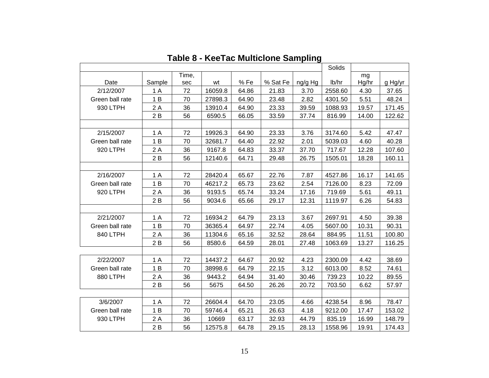|                 |        |       |         |       |          |         | Solids  |       |         |
|-----------------|--------|-------|---------|-------|----------|---------|---------|-------|---------|
|                 |        | Time, |         |       |          |         |         | mg    |         |
| Date            | Sample | sec   | wt      | %Fe   | % Sat Fe | ng/g Hg | lb/hr   | Hg/hr | g Hg/yr |
| 2/12/2007       | 1A     | 72    | 16059.8 | 64.86 | 21.83    | 3.70    | 2558.60 | 4.30  | 37.65   |
| Green ball rate | 1B     | 70    | 27898.3 | 64.90 | 23.48    | 2.82    | 4301.50 | 5.51  | 48.24   |
| 930 LTPH        | 2A     | 36    | 13910.4 | 64.90 | 23.33    | 39.59   | 1088.93 | 19.57 | 171.45  |
|                 | 2B     | 56    | 6590.5  | 66.05 | 33.59    | 37.74   | 816.99  | 14.00 | 122.62  |
|                 |        |       |         |       |          |         |         |       |         |
| 2/15/2007       | 1 A    | 72    | 19926.3 | 64.90 | 23.33    | 3.76    | 3174.60 | 5.42  | 47.47   |
| Green ball rate | 1B     | 70    | 32681.7 | 64.40 | 22.92    | 2.01    | 5039.03 | 4.60  | 40.28   |
| 920 LTPH        | 2A     | 36    | 9167.8  | 64.83 | 33.37    | 37.70   | 717.67  | 12.28 | 107.60  |
|                 | 2B     | 56    | 12140.6 | 64.71 | 29.48    | 26.75   | 1505.01 | 18.28 | 160.11  |
|                 |        |       |         |       |          |         |         |       |         |
| 2/16/2007       | 1 A    | 72    | 28420.4 | 65.67 | 22.76    | 7.87    | 4527.86 | 16.17 | 141.65  |
| Green ball rate | 1B     | 70    | 46217.2 | 65.73 | 23.62    | 2.54    | 7126.00 | 8.23  | 72.09   |
| 920 LTPH        | 2A     | 36    | 9193.5  | 65.74 | 33.24    | 17.16   | 719.69  | 5.61  | 49.11   |
|                 | 2B     | 56    | 9034.6  | 65.66 | 29.17    | 12.31   | 1119.97 | 6.26  | 54.83   |
|                 |        |       |         |       |          |         |         |       |         |
| 2/21/2007       | 1A     | 72    | 16934.2 | 64.79 | 23.13    | 3.67    | 2697.91 | 4.50  | 39.38   |
| Green ball rate | 1B     | 70    | 36365.4 | 64.97 | 22.74    | 4.05    | 5607.00 | 10.31 | 90.31   |
| 840 LTPH        | 2 A    | 36    | 11304.6 | 65.16 | 32.52    | 28.64   | 884.95  | 11.51 | 100.80  |
|                 | 2B     | 56    | 8580.6  | 64.59 | 28.01    | 27.48   | 1063.69 | 13.27 | 116.25  |
|                 |        |       |         |       |          |         |         |       |         |
| 2/22/2007       | 1A     | 72    | 14437.2 | 64.67 | 20.92    | 4.23    | 2300.09 | 4.42  | 38.69   |
| Green ball rate | 1B     | 70    | 38998.6 | 64.79 | 22.15    | 3.12    | 6013.00 | 8.52  | 74.61   |
| 880 LTPH        | 2 A    | 36    | 9443.2  | 64.94 | 31.40    | 30.46   | 739.23  | 10.22 | 89.55   |
|                 | 2B     | 56    | 5675    | 64.50 | 26.26    | 20.72   | 703.50  | 6.62  | 57.97   |
|                 |        |       |         |       |          |         |         |       |         |
| 3/6/2007        | 1A     | 72    | 26604.4 | 64.70 | 23.05    | 4.66    | 4238.54 | 8.96  | 78.47   |
| Green ball rate | 1B     | 70    | 59746.4 | 65.21 | 26.63    | 4.18    | 9212.00 | 17.47 | 153.02  |
| 930 LTPH        | 2 A    | 36    | 10669   | 63.17 | 32.93    | 44.79   | 835.19  | 16.99 | 148.79  |
|                 |        |       |         |       |          |         |         |       |         |

**Table 8 - KeeTac Multiclone Sampling**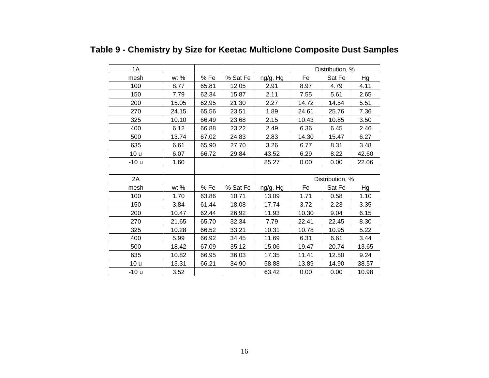| 1A     |       |       |          |          | Distribution, % |                 |       |
|--------|-------|-------|----------|----------|-----------------|-----------------|-------|
| mesh   | wt %  | %Fe   | % Sat Fe | ng/g, Hg | Fe              | Sat Fe          | Hg    |
| 100    | 8.77  | 65.81 | 12.05    | 2.91     | 8.97            | 4.79            | 4.11  |
| 150    | 7.79  | 62.34 | 15.87    | 2.11     | 7.55            | 5.61            | 2.65  |
| 200    | 15.05 | 62.95 | 21.30    | 2.27     | 14.72           | 14.54           | 5.51  |
| 270    | 24.15 | 65.56 | 23.51    | 1.89     | 24.61           | 25.76           | 7.36  |
| 325    | 10.10 | 66.49 | 23.68    | 2.15     | 10.43           | 10.85           | 3.50  |
| 400    | 6.12  | 66.88 | 23.22    | 2.49     | 6.36            | 6.45            | 2.46  |
| 500    | 13.74 | 67.02 | 24.83    | 2.83     | 14.30           | 15.47           | 6.27  |
| 635    | 6.61  | 65.90 | 27.70    | 3.26     | 6.77            | 8.31            | 3.48  |
| 10 u   | 6.07  | 66.72 | 29.84    | 43.52    | 6.29            | 8.22            | 42.60 |
| $-10u$ | 1.60  |       |          | 85.27    | 0.00            | 0.00            | 22.06 |
|        |       |       |          |          |                 |                 |       |
| 2A     |       |       |          |          |                 | Distribution, % |       |
| mesh   | wt %  | %Fe   | % Sat Fe | ng/g, Hg | Fe              | Sat Fe          | Hg    |
| 100    | 1.70  | 63.86 | 10.71    | 13.09    | 1.71            | 0.58            | 1.10  |
| 150    | 3.84  | 61.44 | 18.08    | 17.74    | 3.72            | 2.23            | 3.35  |
| 200    | 10.47 | 62.44 | 26.92    | 11.93    | 10.30           | 9.04            | 6.15  |
| 270    | 21.65 | 65.70 | 32.34    | 7.79     | 22.41           | 22.45           | 8.30  |
| 325    | 10.28 | 66.52 | 33.21    | 10.31    | 10.78           | 10.95           | 5.22  |
| 400    | 5.99  | 66.92 | 34.45    | 11.69    | 6.31            | 6.61            | 3.44  |
| 500    | 18.42 | 67.09 | 35.12    | 15.06    | 19.47           | 20.74           | 13.65 |
| 635    | 10.82 | 66.95 | 36.03    | 17.35    | 11.41           | 12.50           | 9.24  |
| 10 u   | 13.31 | 66.21 | 34.90    | 58.88    | 13.89           | 14.90           | 38.57 |
| -10 u  | 3.52  |       |          | 63.42    | 0.00            | 0.00            | 10.98 |

## **Table 9 - Chemistry by Size for Keetac Multiclone Composite Dust Samples**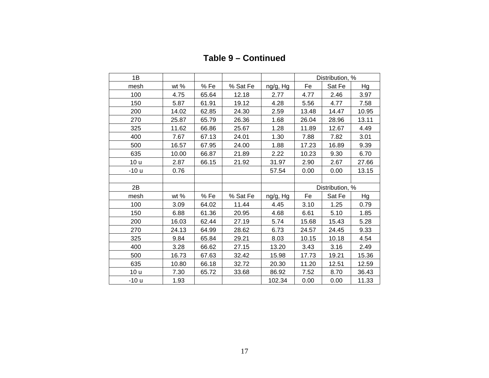| 1B    |        |       |          |          | Distribution, % |                 |       |
|-------|--------|-------|----------|----------|-----------------|-----------------|-------|
| mesh  | wt $%$ | %Fe   | % Sat Fe | ng/g, Hg | Fe              | Sat Fe          | Hg    |
| 100   | 4.75   | 65.64 | 12.18    | 2.77     | 4.77            | 2.46            | 3.97  |
| 150   | 5.87   | 61.91 | 19.12    | 4.28     | 5.56            | 4.77            | 7.58  |
| 200   | 14.02  | 62.85 | 24.30    | 2.59     | 13.48           | 14.47           | 10.95 |
| 270   | 25.87  | 65.79 | 26.36    | 1.68     | 26.04           | 28.96           | 13.11 |
| 325   | 11.62  | 66.86 | 25.67    | 1.28     | 11.89           | 12.67           | 4.49  |
| 400   | 7.67   | 67.13 | 24.01    | 1.30     | 7.88            | 7.82            | 3.01  |
| 500   | 16.57  | 67.95 | 24.00    | 1.88     | 17.23           | 16.89           | 9.39  |
| 635   | 10.00  | 66.87 | 21.89    | 2.22     | 10.23           | 9.30            | 6.70  |
| 10 u  | 2.87   | 66.15 | 21.92    | 31.97    | 2.90            | 2.67            | 27.66 |
| -10 u | 0.76   |       |          | 57.54    | 0.00            | 0.00            | 13.15 |
|       |        |       |          |          |                 |                 |       |
| 2B    |        |       |          |          |                 | Distribution, % |       |
| mesh  | wt %   | %Fe   | % Sat Fe | ng/g, Hg | Fe              | Sat Fe          | Hg    |
| 100   | 3.09   | 64.02 | 11.44    | 4.45     | 3.10            | 1.25            | 0.79  |
| 150   | 6.88   | 61.36 | 20.95    | 4.68     | 6.61            | 5.10            | 1.85  |
| 200   | 16.03  | 62.44 | 27.19    | 5.74     | 15.68           | 15.43           | 5.28  |
| 270   | 24.13  | 64.99 | 28.62    | 6.73     | 24.57           | 24.45           | 9.33  |
| 325   | 9.84   | 65.84 | 29.21    | 8.03     | 10.15           | 10.18           | 4.54  |
| 400   | 3.28   | 66.62 | 27.15    | 13.20    | 3.43            | 3.16            | 2.49  |
| 500   | 16.73  | 67.63 | 32.42    | 15.98    | 17.73           | 19.21           | 15.36 |
| 635   | 10.80  | 66.18 | 32.72    | 20.30    | 11.20           | 12.51           | 12.59 |
| 10 u  | 7.30   | 65.72 | 33.68    | 86.92    | 7.52            | 8.70            | 36.43 |
| -10 u | 1.93   |       |          | 102.34   | 0.00            | 0.00            | 11.33 |

**Table 9 – Continued**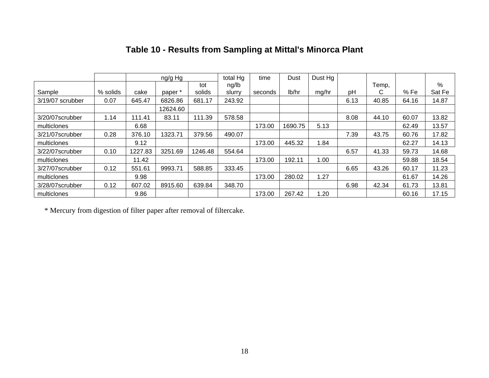|                  |          |         | ng/g Hg  |         | total Hg | time    | Dust    | Dust Hg |      |       |       |        |
|------------------|----------|---------|----------|---------|----------|---------|---------|---------|------|-------|-------|--------|
|                  |          |         |          | tot     | ng/lb    |         |         |         |      | Temp, |       | %      |
| Sample           | % solids | cake    | paper *  | solids  | slurry   | seconds | lb/hr   | mg/hr   | рH   | C     | % Fe  | Sat Fe |
| 3/19/07 scrubber | 0.07     | 645.47  | 6826.86  | 681.17  | 243.92   |         |         |         | 6.13 | 40.85 | 64.16 | 14.87  |
|                  |          |         | 12624.60 |         |          |         |         |         |      |       |       |        |
| 3/20/07scrubber  | 1.14     | 111.41  | 83.11    | 111.39  | 578.58   |         |         |         | 8.08 | 44.10 | 60.07 | 13.82  |
| multiclones      |          | 6.68    |          |         |          | 173.00  | 1690.75 | 5.13    |      |       | 62.49 | 13.57  |
| 3/21/07scrubber  | 0.28     | 376.10  | 1323.71  | 379.56  | 490.07   |         |         |         | 7.39 | 43.75 | 60.76 | 17.82  |
| multiclones      |          | 9.12    |          |         |          | 173.00  | 445.32  | 1.84    |      |       | 62.27 | 14.13  |
| 3/22/07scrubber  | 0.10     | 1227.83 | 3251.69  | 1246.48 | 554.64   |         |         |         | 6.57 | 41.33 | 59.73 | 14.68  |
| multiclones      |          | 11.42   |          |         |          | 173.00  | 192.11  | 1.00    |      |       | 59.88 | 18.54  |
| 3/27/07scrubber  | 0.12     | 551.61  | 9993.71  | 588.85  | 333.45   |         |         |         | 6.65 | 43.26 | 60.17 | 11.23  |
| multiclones      |          | 9.98    |          |         |          | 173.00  | 280.02  | 1.27    |      |       | 61.67 | 14.26  |
| 3/28/07scrubber  | 0.12     | 607.02  | 8915.60  | 639.84  | 348.70   |         |         |         | 6.98 | 42.34 | 61.73 | 13.81  |
| multiclones      |          | 9.86    |          |         |          | 173.00  | 267.42  | 20. ا   |      |       | 60.16 | 17.15  |

## **Table 10 - Results from Sampling at Mittal's Minorca Plant**

\* Mercury from digestion of filter paper after removal of filtercake.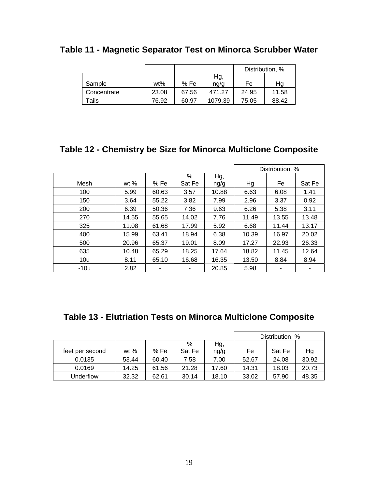|             |       |       |         |       | Distribution, % |
|-------------|-------|-------|---------|-------|-----------------|
|             |       |       | Hg,     |       |                 |
| Sample      | wt%   | % Fe  | ng/g    | Fe    | Ηg              |
| Concentrate | 23.08 | 67.56 | 471.27  | 24.95 | 11.58           |
| Tails       | 76.92 | 60.97 | 1079.39 | 75.05 | 88.42           |

## **Table 11 - Magnetic Separator Test on Minorca Scrubber Water**

## **Table 12 - Chemistry be Size for Minorca Multiclone Composite**

|        |        |       |        |       |       | Distribution, % |        |
|--------|--------|-------|--------|-------|-------|-----------------|--------|
|        |        |       | %      | Hg,   |       |                 |        |
| Mesh   | wt $%$ | %Fe   | Sat Fe | ng/g  | Hg    | Fe              | Sat Fe |
| 100    | 5.99   | 60.63 | 3.57   | 10.88 | 6.63  | 6.08            | 1.41   |
| 150    | 3.64   | 55.22 | 3.82   | 7.99  | 2.96  | 3.37            | 0.92   |
| 200    | 6.39   | 50.36 | 7.36   | 9.63  | 6.26  | 5.38            | 3.11   |
| 270    | 14.55  | 55.65 | 14.02  | 7.76  | 11.49 | 13.55           | 13.48  |
| 325    | 11.08  | 61.68 | 17.99  | 5.92  | 6.68  | 11.44           | 13.17  |
| 400    | 15.99  | 63.41 | 18.94  | 6.38  | 10.39 | 16.97           | 20.02  |
| 500    | 20.96  | 65.37 | 19.01  | 8.09  | 17.27 | 22.93           | 26.33  |
| 635    | 10.48  | 65.29 | 18.25  | 17.64 | 18.82 | 11.45           | 12.64  |
| 10u    | 8.11   | 65.10 | 16.68  | 16.35 | 13.50 | 8.84            | 8.94   |
| $-10u$ | 2.82   | ۰     | ۰      | 20.85 | 5.98  |                 | ٠      |

## **Table 13 - Elutriation Tests on Minorca Multiclone Composite**

|                 |        |       |        |       |       | Distribution, % |       |
|-----------------|--------|-------|--------|-------|-------|-----------------|-------|
|                 |        |       | %      | Hg,   |       |                 |       |
| feet per second | wt $%$ | % Fe  | Sat Fe | ng/g  | Fe    | Sat Fe          | Hg    |
| 0.0135          | 53.44  | 60.40 | 7.58   | 7.00  | 52.67 | 24.08           | 30.92 |
| 0.0169          | 14.25  | 61.56 | 21.28  | 17.60 | 14.31 | 18.03           | 20.73 |
| Underflow       | 32.32  | 62.61 | 30.14  | 18.10 | 33.02 | 57.90           | 48.35 |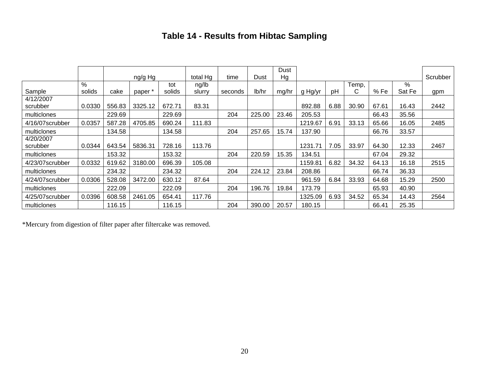## **Table 14 - Results from Hibtac Sampling**

|                 |        |        | ng/g Hg |        | total Hg | time    | Dust   | Dust<br>Hg |         |      |       |       |        | Scrubber |
|-----------------|--------|--------|---------|--------|----------|---------|--------|------------|---------|------|-------|-------|--------|----------|
|                 | %      |        |         | tot    | ng/lb    |         |        |            |         |      | Temp, |       | %      |          |
| Sample          | solids | cake   | paper   | solids | slurry   | seconds | lb/hr  | mg/hr      | g Hg/yr | pH   | С     | % Fe  | Sat Fe | gpm      |
| 4/12/2007       |        |        |         |        |          |         |        |            |         |      |       |       |        |          |
| scrubber        | 0.0330 | 556.83 | 3325.12 | 672.71 | 83.31    |         |        |            | 892.88  | 6.88 | 30.90 | 67.61 | 16.43  | 2442     |
| multiclones     |        | 229.69 |         | 229.69 |          | 204     | 225.00 | 23.46      | 205.53  |      |       | 66.43 | 35.56  |          |
| 4/16/07scrubber | 0.0357 | 587.28 | 4705.85 | 690.24 | 111.83   |         |        |            | 1219.67 | 6.91 | 33.13 | 65.66 | 16.05  | 2485     |
| multiclones     |        | 134.58 |         | 134.58 |          | 204     | 257.65 | 15.74      | 137.90  |      |       | 66.76 | 33.57  |          |
| 4/20/2007       |        |        |         |        |          |         |        |            |         |      |       |       |        |          |
| scrubber        | 0.0344 | 643.54 | 5836.31 | 728.16 | 113.76   |         |        |            | 1231.71 | 7.05 | 33.97 | 64.30 | 12.33  | 2467     |
| multiclones     |        | 153.32 |         | 153.32 |          | 204     | 220.59 | 15.35      | 134.51  |      |       | 67.04 | 29.32  |          |
| 4/23/07scrubber | 0.0332 | 619.62 | 3180.00 | 696.39 | 105.08   |         |        |            | 1159.81 | 6.82 | 34.32 | 64.13 | 16.18  | 2515     |
| multiclones     |        | 234.32 |         | 234.32 |          | 204     | 224.12 | 23.84      | 208.86  |      |       | 66.74 | 36.33  |          |
| 4/24/07scrubber | 0.0306 | 528.08 | 3472.00 | 630.12 | 87.64    |         |        |            | 961.59  | 6.84 | 33.93 | 64.68 | 15.29  | 2500     |
| multiclones     |        | 222.09 |         | 222.09 |          | 204     | 196.76 | 19.84      | 173.79  |      |       | 65.93 | 40.90  |          |
| 4/25/07scrubber | 0.0396 | 608.58 | 2461.05 | 654.41 | 117.76   |         |        |            | 1325.09 | 6.93 | 34.52 | 65.34 | 14.43  | 2564     |
| multiclones     |        | 116.15 |         | 116.15 |          | 204     | 390.00 | 20.57      | 180.15  |      |       | 66.41 | 25.35  |          |

\*Mercury from digestion of filter paper after filtercake was removed.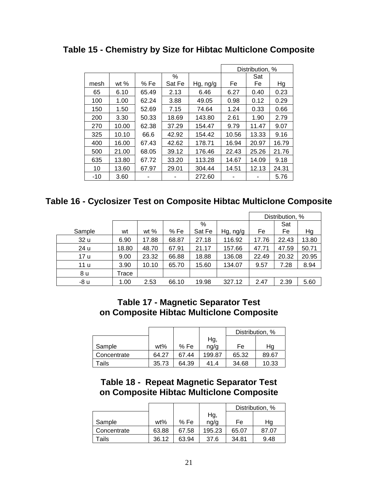**Table 15 - Chemistry by Size for Hibtac Multiclone Composite** 

|       |        |       |        |          |       | Distribution, % |       |
|-------|--------|-------|--------|----------|-------|-----------------|-------|
|       |        |       | %      |          |       | Sat             |       |
| mesh  | wt $%$ | % Fe  | Sat Fe | Hg, ng/g | Fe    | Fe              | Hg    |
| 65    | 6.10   | 65.49 | 2.13   | 6.46     | 6.27  | 0.40            | 0.23  |
| 100   | 1.00   | 62.24 | 3.88   | 49.05    | 0.98  | 0.12            | 0.29  |
| 150   | 1.50   | 52.69 | 7.15   | 74.64    | 1.24  | 0.33            | 0.66  |
| 200   | 3.30   | 50.33 | 18.69  | 143.80   | 2.61  | 1.90            | 2.79  |
| 270   | 10.00  | 62.38 | 37.29  | 154.47   | 9.79  | 11.47           | 9.07  |
| 325   | 10.10  | 66.6  | 42.92  | 154.42   | 10.56 | 13.33           | 9.16  |
| 400   | 16.00  | 67.43 | 42.62  | 178.71   | 16.94 | 20.97           | 16.79 |
| 500   | 21.00  | 68.05 | 39.12  | 176.46   | 22.43 | 25.26           | 21.76 |
| 635   | 13.80  | 67.72 | 33.20  | 113.28   | 14.67 | 14.09           | 9.18  |
| 10    | 13.60  | 67.97 | 29.01  | 304.44   | 14.51 | 12.13           | 24.31 |
| $-10$ | 3.60   |       |        | 272.60   |       |                 | 5.76  |

## **Table 16 - Cyclosizer Test on Composite Hibtac Multiclone Composite**

|        |       |        |       |        |          |       | Distribution, % |       |
|--------|-------|--------|-------|--------|----------|-------|-----------------|-------|
|        |       |        |       | %      |          |       | Sat             |       |
| Sample | wt    | wt $%$ | % Fe  | Sat Fe | Hg, ng/g | Fe    | Fe              | Hg    |
| 32 u   | 6.90  | 17.88  | 68.87 | 27.18  | 116.92   | 17.76 | 22.43           | 13.80 |
| 24 u   | 18.80 | 48.70  | 67.91 | 21.17  | 157.66   | 47.71 | 47.59           | 50.71 |
| 17 u   | 9.00  | 23.32  | 66.88 | 18.88  | 136.08   | 22.49 | 20.32           | 20.95 |
| 11 u   | 3.90  | 10.10  | 65.70 | 15.60  | 134.07   | 9.57  | 7.28            | 8.94  |
| 8 u    | Trace |        |       |        |          |       |                 |       |
| -8 u   | 1.00  | 2.53   | 66.10 | 19.98  | 327.12   | 2.47  | 2.39            | 5.60  |

### **Table 17 - Magnetic Separator Test on Composite Hibtac Multiclone Composite**

|             |       |       |        | Distribution, % |       |
|-------------|-------|-------|--------|-----------------|-------|
|             |       |       | Hg,    |                 |       |
| Sample      | wt%   | %Fe   | ng/g   | Fe              | Ηg    |
| Concentrate | 64.27 | 67.44 | 199.87 | 65.32           | 89.67 |
| Tails       | 35.73 | 64.39 | 41.4   | 34.68           | 10.33 |

### **Table 18 - Repeat Magnetic Separator Test on Composite Hibtac Multiclone Composite**

|             |       |       |        |       | Distribution, % |
|-------------|-------|-------|--------|-------|-----------------|
|             |       |       | Hg,    |       |                 |
| Sample      | wt%   | % Fe  | ng/g   | Fe    | Ha              |
| Concentrate | 63.88 | 67.58 | 195.23 | 65.07 | 87.07           |
| Tails       | 36.12 | 63.94 | 37.6   | 34.81 | 9.48            |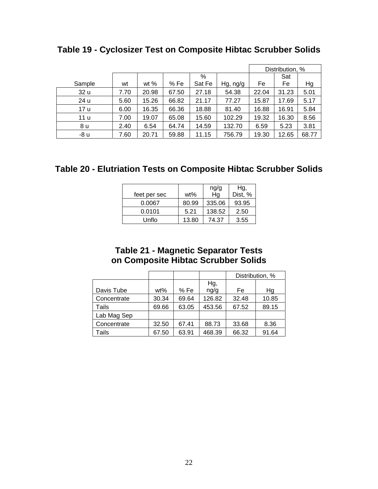|        |      |        |       |        |          |       | Distribution, % |       |
|--------|------|--------|-------|--------|----------|-------|-----------------|-------|
|        |      |        |       | %      |          |       | Sat             |       |
| Sample | wt   | wt $%$ | %Fe   | Sat Fe | Hg, ng/g | Fe    | Fe              | Hg    |
| 32 u   | 7.70 | 20.98  | 67.50 | 27.18  | 54.38    | 22.04 | 31.23           | 5.01  |
| 24 u   | 5.60 | 15.26  | 66.82 | 21.17  | 77.27    | 15.87 | 17.69           | 5.17  |
| 17 u   | 6.00 | 16.35  | 66.36 | 18.88  | 81.40    | 16.88 | 16.91           | 5.84  |
| 11 u   | 7.00 | 19.07  | 65.08 | 15.60  | 102.29   | 19.32 | 16.30           | 8.56  |
| 8 u    | 2.40 | 6.54   | 64.74 | 14.59  | 132.70   | 6.59  | 5.23            | 3.81  |
| -8 u   | 7.60 | 20.71  | 59.88 | 11.15  | 756.79   | 19.30 | 12.65           | 68.77 |

**Table 19 - Cyclosizer Test on Composite Hibtac Scrubber Solids** 

## **Table 20 - Elutriation Tests on Composite Hibtac Scrubber Solids**

| feet per sec | wt%   | ng/g<br>Ηg | Hg,<br>Dist, % |
|--------------|-------|------------|----------------|
| 0.0067       | 80.99 | 335.06     | 93.95          |
| 0.0101       | 5.21  | 138.52     | 2.50           |
| Unflo        | 13.80 | 74.37      | 3.55           |

## **Table 21 - Magnetic Separator Tests on Composite Hibtac Scrubber Solids**

|             |       |       |        |       | Distribution, % |
|-------------|-------|-------|--------|-------|-----------------|
|             |       |       | Hg,    |       |                 |
| Davis Tube  | wt%   | % Fe  | ng/g   | Fe    | Hg              |
| Concentrate | 30.34 | 69.64 | 126.82 | 32.48 | 10.85           |
| Tails       | 69.66 | 63.05 | 453.56 | 67.52 | 89.15           |
| Lab Mag Sep |       |       |        |       |                 |
| Concentrate | 32.50 | 67.41 | 88.73  | 33.68 | 8.36            |
| Tails       | 67.50 | 63.91 | 468.39 | 66.32 | 91.64           |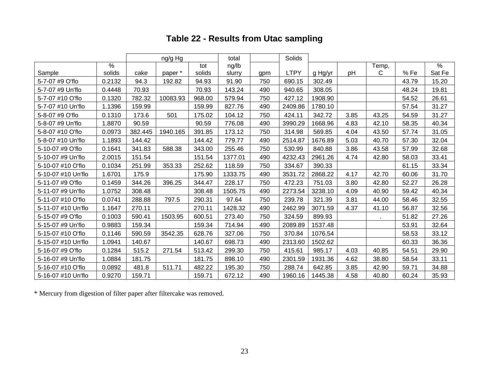## **Table 22 - Results from Utac sampling**

|                    |               |         | ng/g Hg  |        | total   |     | Solids      |         |      |              |       |               |
|--------------------|---------------|---------|----------|--------|---------|-----|-------------|---------|------|--------------|-------|---------------|
|                    | $\frac{9}{6}$ |         |          | tot    | ng/lb   |     |             |         |      | Temp,        |       | $\frac{9}{6}$ |
| Sample             | solids        | cake    | paper*   | solids | slurry  | gpm | <b>LTPY</b> | g Hg/yr | pH   | $\mathsf{C}$ | % Fe  | Sat Fe        |
| 5-7-07 #9 O'flo    | 0.2132        | 94.3    | 192.82   | 94.93  | 91.90   | 750 | 690.15      | 302.49  |      |              | 43.79 | 15.20         |
| 5-7-07 #9 Un'flo   | 0.4448        | 70.93   |          | 70.93  | 143.24  | 490 | 940.65      | 308.05  |      |              | 48.24 | 19.81         |
| 5-7-07 #10 O'flo   | 0.1320        | 782.32  | 10083.93 | 968.00 | 579.94  | 750 | 427.12      | 1908.90 |      |              | 54.52 | 26.61         |
| 5-7-07 #10 Un'flo  | 1.1396        | 159.99  |          | 159.99 | 827.76  | 490 | 2409.86     | 1780.10 |      |              | 57.54 | 31.27         |
| 5-8-07 #9 O'flo    | 0.1310        | 173.6   | 501      | 175.02 | 104.12  | 750 | 424.11      | 342.72  | 3.85 | 43.25        | 54.59 | 31.27         |
| 5-8-07 #9 Un'flo   | 1.8870        | 90.59   |          | 90.59  | 776.08  | 490 | 3990.29     | 1668.96 | 4.83 | 42.10        | 58.35 | 40.34         |
| 5-8-07 #10 O'flo   | 0.0973        | 382.445 | 1940.165 | 391.85 | 173.12  | 750 | 314.98      | 569.85  | 4.04 | 43.50        | 57.74 | 31.05         |
| 5-8-07 #10 Un'flo  | 1.1893        | 144.42  |          | 144.42 | 779.77  | 490 | 2514.87     | 1676.89 | 5.03 | 40.70        | 57.30 | 32.04         |
| 5-10-07 #9 O'flo   | 0.1641        | 341.83  | 588.38   | 343.00 | 255.46  | 750 | 530.99      | 840.88  | 3.86 | 43.58        | 57.99 | 32.68         |
| 5-10-07 #9 Un'flo  | 2.0015        | 151.54  |          | 151.54 | 1377.01 | 490 | 4232.43     | 2961.26 | 4.74 | 42.80        | 58.03 | 33.41         |
| 5-10-07 #10 O'flo  | 0.1034        | 251.99  | 353.33   | 252.62 | 118.59  | 750 | 334.67      | 390.33  |      |              | 61.15 | 33.34         |
| 5-10-07 #10 Un'flo | 1.6701        | 175.9   |          | 175.90 | 1333.75 | 490 | 3531.72     | 2868.22 | 4.17 | 42.70        | 60.06 | 31.70         |
| 5-11-07 #9 O'flo   | 0.1459        | 344.26  | 396.25   | 344.47 | 228.17  | 750 | 472.23      | 751.03  | 3.80 | 42.80        | 52.27 | 26.28         |
| 5-11-07 #9 Un'flo  | 1.0752        | 308.48  |          | 308.48 | 1505.75 | 490 | 2273.54     | 3238.10 | 4.09 | 40.90        | 59.42 | 40.34         |
| 5-11-07 #10 O'flo  | 0.0741        | 288.88  | 797.5    | 290.31 | 97.64   | 750 | 239.78      | 321.39  | 3.81 | 44.00        | 58.46 | 32.55         |
| 5-11-07 #10 Un'flo | 1.1647        | 270.11  |          | 270.11 | 1428.32 | 490 | 2462.99     | 3071.59 | 4.37 | 41.10        | 56.87 | 32.56         |
| 5-15-07 #9 O'flo   | 0.1003        | 590.41  | 1503.95  | 600.51 | 273.40  | 750 | 324.59      | 899.93  |      |              | 51.82 | 27.26         |
| 5-15-07 #9 Un'flo  | 0.9883        | 159.34  |          | 159.34 | 714.94  | 490 | 2089.89     | 1537.48 |      |              | 53.91 | 32.64         |
| 5-15-07 #10 O'flo  | 0.1146        | 590.59  | 3542.35  | 628.76 | 327.06  | 750 | 370.84      | 1076.54 |      |              | 58.53 | 33.12         |
| 5-15-07 #10 Un'flo | 1.0941        | 140.67  |          | 140.67 | 698.73  | 490 | 2313.60     | 1502.62 |      |              | 60.33 | 36.36         |
| 5-16-07 #9 O'flo   | 0.1284        | 515.2   | 271.54   | 513.42 | 299.30  | 750 | 415.61      | 985.17  | 4.03 | 40.85        | 54.51 | 29.90         |
| 5-16-07 #9 Un'flo  | 1.0884        | 181.75  |          | 181.75 | 898.10  | 490 | 2301.59     | 1931.36 | 4.62 | 38.80        | 58.54 | 33.11         |
| 5-16-07 #10 O'flo  | 0.0892        | 481.8   | 511.71   | 482.22 | 195.30  | 750 | 288.74      | 642.85  | 3.85 | 42.90        | 59.71 | 34.88         |
| 5-16-07 #10 Un'flo | 0.9270        | 159.71  |          | 159.71 | 672.12  | 490 | 1960.16     | 1445.38 | 4.58 | 40.80        | 60.24 | 35.93         |

\* Mercury from digestion of filter paper after filtercake was removed.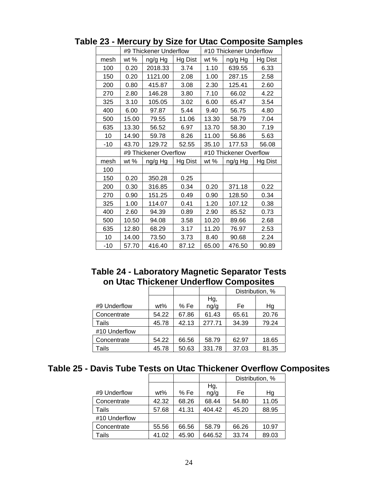|       |        | #9 Thickener Underflow |         | #10 Thickener Underflow |                        |         |  |  |
|-------|--------|------------------------|---------|-------------------------|------------------------|---------|--|--|
| mesh  | wt $%$ | ng/g Hg                | Hg Dist | wt %                    | ng/g Hg                | Hg Dist |  |  |
| 100   | 0.20   | 2018.33                | 3.74    | 1.10                    | 639.55                 | 6.33    |  |  |
| 150   | 0.20   | 1121.00                | 2.08    | 1.00                    | 287.15                 | 2.58    |  |  |
| 200   | 0.80   | 415.87                 | 3.08    | 2.30                    | 125.41                 | 2.60    |  |  |
| 270   | 2.80   | 146.28                 | 3.80    | 7.10                    | 66.02                  | 4.22    |  |  |
| 325   | 3.10   | 105.05                 | 3.02    | 6.00                    | 65.47                  | 3.54    |  |  |
| 400   | 6.00   | 97.87                  | 5.44    | 9.40                    | 56.75                  | 4.80    |  |  |
| 500   | 15.00  | 79.55                  | 11.06   | 13.30                   | 58.79                  | 7.04    |  |  |
| 635   | 13.30  | 56.52                  | 6.97    | 13.70                   | 58.30                  | 7.19    |  |  |
| 10    | 14.90  | 59.78                  | 8.26    | 11.00                   | 56.86                  | 5.63    |  |  |
| $-10$ | 43.70  | 129.72                 | 52.55   | 35.10                   | 177.53                 | 56.08   |  |  |
|       |        | #9 Thickener Overflow  |         |                         | #10 Thickener Overflow |         |  |  |
| mesh  | wt %   | ng/g Hg                | Hg Dist | wt %                    | ng/g Hg                | Hg Dist |  |  |
|       |        |                        |         |                         |                        |         |  |  |
| 100   |        |                        |         |                         |                        |         |  |  |
| 150   | 0.20   | 350.28                 | 0.25    |                         |                        |         |  |  |
| 200   | 0.30   | 316.85                 | 0.34    | 0.20                    | 371.18                 | 0.22    |  |  |
| 270   | 0.90   | 151.25                 | 0.49    | 0.90                    | 128.50                 | 0.34    |  |  |
| 325   | 1.00   | 114.07                 | 0.41    | 1.20                    | 107.12                 | 0.38    |  |  |
| 400   | 2.60   | 94.39                  | 0.89    | 2.90                    | 85.52                  | 0.73    |  |  |
| 500   | 10.50  | 94.08                  | 3.58    | 10.20                   | 89.66                  | 2.68    |  |  |
| 635   | 12.80  | 68.29                  | 3.17    | 11.20                   | 76.97                  | 2.53    |  |  |
| 10    | 14.00  | 73.50                  | 3.73    | 8.40                    | 90.68                  | 2.24    |  |  |
| $-10$ | 57.70  | 416.40                 | 87.12   | 65.00                   | 476.50                 | 90.89   |  |  |

### **Table 23 - Mercury by Size for Utac Composite Samples**

### **Table 24 - Laboratory Magnetic Separator Tests on Utac Thickener Underflow Composites**

|               |       |       |        | Distribution, % |       |
|---------------|-------|-------|--------|-----------------|-------|
|               |       |       | Hg,    |                 |       |
| #9 Underflow  | wt%   | % Fe  | ng/g   | Fe              | Hg    |
| Concentrate   | 54.22 | 67.86 | 61.43  | 65.61           | 20.76 |
| Tails         | 45.78 | 42.13 | 277.71 | 34.39           | 79.24 |
| #10 Underflow |       |       |        |                 |       |
| Concentrate   | 54.22 | 66.56 | 58.79  | 62.97           | 18.65 |
| Tails         | 45.78 | 50.63 | 331.78 | 37.03           | 81.35 |

## **Table 25 - Davis Tube Tests on Utac Thickener Overflow Composites**

|               |        |       |        | Distribution, % |       |
|---------------|--------|-------|--------|-----------------|-------|
|               |        |       | Hg,    |                 |       |
| #9 Underflow  | $wt\%$ | % Fe  | ng/g   | Fe              | Hg    |
| Concentrate   | 42.32  | 68.26 | 68.44  | 54.80           | 11.05 |
| Tails         | 57.68  | 41.31 | 404.42 | 45.20           | 88.95 |
| #10 Underflow |        |       |        |                 |       |
| Concentrate   | 55.56  | 66.56 | 58.79  | 66.26           | 10.97 |
| Tails         | 41.02  | 45.90 | 646.52 | 33.74           | 89.03 |